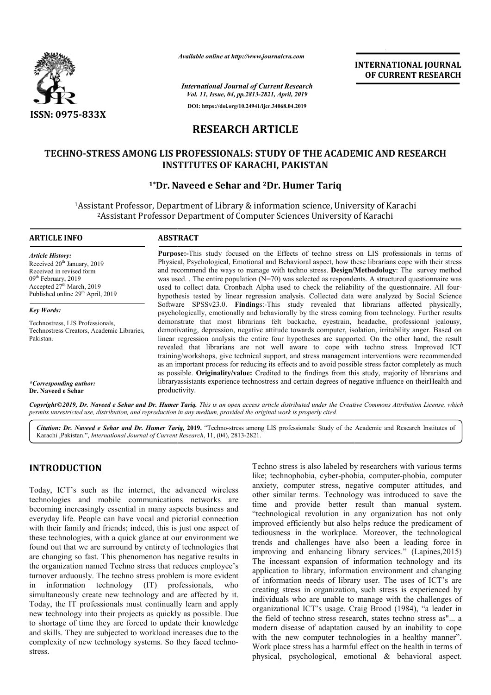

*Available online at http://www.journalcra.com*

**INTERNATIONAL JOURNAL OF CURRENT RESEARCH**

*International Journal of Current Research Vol. 11, Issue, 04, pp.2813-2821, April, 2019*

**DOI: https://doi.org/10.24941/ijcr.34068.04.2019**

# **RESEARCH ARTICLE**

# TECHNO-STRESS AMONG LIS PROFESSIONALS: STUDY OF THE ACADEMIC AND RESEARCH<br>INSTITUTES OF KARACHI, PAKISTAN<br><sup>1\*</sup>Dr. Naveed e Sehar and <sup>2</sup>Dr. Humer Tariq **INSTITUTES OF KARACHI, PAKISTAN**

# **1\*Dr. Naveed e Sehar**

<sup>1</sup>Assistant Professor, Department of Library & information science, University of Karachi<br><sup>2</sup>Assistant Professor Department of Computer Sciences University of Karachi <sup>2</sup> Assistant Professor Department of Computer Sciences University of Karachi

## **ARTICLE INFO ABSTRACT**

*Article History:* Received  $20<sup>th</sup>$  January, 2019 Received in revised form 09<sup>th</sup> February, 2019 Accepted 27<sup>th</sup> March, 2019 Published online 29<sup>th</sup> April, 2019

*Key Words:*

Technostress, LIS Professionals, Technostress Creators, Academic Libraries, Pakistan.

*\*Corresponding author:* **Dr. Naveed e Sehar**

**Purpose: Purpose:-**This study focused on the Effects of techno stress on LIS professionals in terms of Physical, Psychological, Emotional and Behavioral aspect, how these librarians cope with their stress Physical, Psychological, Emotional and Behavioral aspect, how these librarians cope with their stress and recommend the ways to manage with techno stress. **Design/Methodology**: The survey method was used. The entire population  $(N=70)$  was selected as respondents. A structured questionnaire was used to collect data. Cronbach Alpha used to check the reliability of the questionnaire. All fourused to collect data. Cronbach Alpha used to check the reliability of the questionnaire. All four hypothesis tested by linear regression analysis. Collected data were analyzed by Social Science Software SPSSv23.0. **Finding**s:-This study revealed that librarians affected physically, psychologically, emotionally and behaviorally by the stress coming from technology. Further results demonstrate that most librarians felt backache, eyestrain, headache, professional jealousy, demotivating, depression, negative attitude towards computer, isolation, irritability anger. Based on linear regression analysis the entire four hypotheses are supported. On the other hand, the result revealed that librarians are not well aware to cope with training/workshops, give technical support, and stress management interventions were recommended training/workshops, give technical support, and stress management interventions were recommended<br>as an important process for reducing its effects and to avoid possible stress factor completely as much as possible. **Originality/value:** Credited to the findings from this study, majority of librarians and as possible. Originality/value: Credited to the findings from this study, majority of librarians and libraryassistants experience technostress and certain degrees of negative influence on theirHealth and productivity. Software SPSSv23.0. **Finding**s:-This study revealed that librarians affected physically, psychologically, emotionally and behaviorally by the stress coming from technology. Further results demonstrate that most librarians demotivating, depression, negative attitude towards computer, isolation, irritability anger. Based on linear regression analysis the entire four hypotheses are supported. On the other hand, the result revealed that librari

Copyright©2019, Dr. Naveed e Sehar and Dr. Humer Tariq. This is an open access article distributed under the Creative Commons Attribution License, which permits unrestricted use, distribution, and reproduction in any medium, provided the original work is properly cited.

Citation: Dr. Naveed e Sehar and Dr. Humer Tariq, 2019. "Techno-stress among LIS professionals: Study of the Academic and Research Institutes of Karachi ,Pakistan.", *International Journal of Current Research* , 11, (04), 2813-2821.

# **INTRODUCTION**

Today, ICT's such as the internet, the advanced wireless technologies and mobile communications networks are becoming increasingly essential in many aspects business and everyday life. People can have vocal and pictorial connection with their family and friends; indeed, this is just one aspect of these technologies, with a quick glance at our environment we found out that we are surround by entirety of technologies that are changing so fast. This phenomenon has negative results in the organization named Techno stress that reduces employee's turnover arduously. The techno stress problem is more evident in information technology (IT) professionals, who simultaneously create new technology and are affected by it. Today, the IT professionals must continually learn and apply new technology into their projects as quickly as possible. Due to shortage of time they are forced to update their knowledge and skills. They are subjected to workload increases due to the complexity of new technology systems. So they faced technostress. iends; indeed, this is just one aspect of<br>i a quick glance at our environment we<br>prround by entirety of technologies that<br>in phenomenon has negative results in<br>Techno stress that reduces employee's<br>etchno stress problem is Techno stress is also labeled by researchers with various terms Techno stress is also labeled by researchers with various terms like; technophobia, cyber-phobia, computer-phobia, computer anxiety, computer stress, negative computer attitudes, and anxiety, computer stress, negative computer attitudes, and other similar terms. Technology was introduced to save the time and provide better result than manual system. "technological revolution in any organization has not only improved efficiently but also helps reduce the predicament of tediousness in the workplace. Moreover, the technological trends and challenges have also been a leading force in improving and enhancing library services." (Lapines,2015) The incessant expansion of information technology and its application to library, information environment and changing of information needs of library user. The uses of ICT's are creating stress in organization, such stress is experienced by individuals who are unable to manage with the challenges of organizational ICT's usage. Craig Brood (1984), "a leader in the field of techno stress research, states techno stress as"... a modern disease of adaptation caused by an inability to cope with the new computer technologies in a healthy manner". Work place stress has a harmful effect on the health in terms of physical, psychological, emotional & behavioral aspect. and provide better result than manual system.<br>
chnological revolution in any organization has not only<br>
proved efficiently but also helps reduce the predicament of<br>
iousness in the workplace. Moreover, the technological<br>
a rganization, such stress is experienced by<br>e unable to manage with the challenges of<br>'s usage. Craig Brood (1984), "a leader in<br>stress research, states techno stress as"... a **INTERNATIONAL JOURNAL FORMATIONAL JOURNAL FORMATION (A** *Lopearity***) OF CURRENT RESEARCH (A 160 1 A 2919)<br>
<b>ICLE EXECUTE CONSTRANT CONSTRANT CONSTRANT**<br> **ICLE CONSTRANT (BOCAL CONSTRANT) CONSTRANT PARKISTAN**<br> **ITCLE CONS**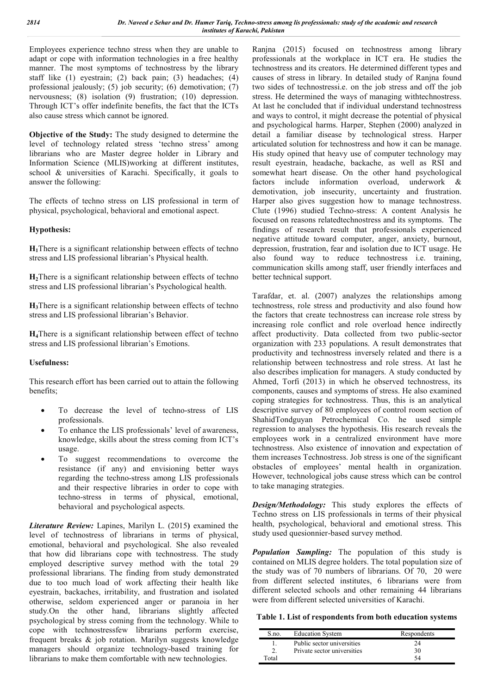Employees experience techno stress when they are unable to adapt or cope with information technologies in a free healthy manner. The most symptoms of technostress by the library staff like (1) eyestrain; (2) back pain; (3) headaches; (4) professional jealously; (5) job security; (6) demotivation; (7) nervousness; (8) isolation (9) frustration; (10) depression. Through ICT's offer indefinite benefits, the fact that the ICTs also cause stress which cannot be ignored.

**Objective of the Study:** The study designed to determine the level of technology related stress 'techno stress' among librarians who are Master degree holder in Library and Information Science (MLIS)working at different institutes, school & universities of Karachi. Specifically, it goals to answer the following:

The effects of techno stress on LIS professional in term of physical, psychological, behavioral and emotional aspect.

# **Hypothesis:**

**H1**There is a significant relationship between effects of techno stress and LIS professional librarian's Physical health.

**H2**There is a significant relationship between effects of techno stress and LIS professional librarian's Psychological health.

**H3**There is a significant relationship between effects of techno stress and LIS professional librarian's Behavior.

**H4**There is a significant relationship between effect of techno stress and LIS professional librarian's Emotions.

# **Usefulness:**

This research effort has been carried out to attain the following benefits;

- To decrease the level of techno-stress of LIS professionals.
- To enhance the LIS professionals' level of awareness, knowledge, skills about the stress coming from ICT's usage.
- To suggest recommendations to overcome the resistance (if any) and envisioning better ways regarding the techno-stress among LIS professionals and their respective libraries in order to cope with techno-stress in terms of physical, emotional, behavioral and psychological aspects.

*Literature Review:* Lapines, Marilyn L. (2015**)** examined the level of technostress of librarians in terms of physical, emotional, behavioral and psychological. She also revealed that how did librarians cope with technostress. The study employed descriptive survey method with the total 29 professional librarians. The finding from study demonstrated due to too much load of work affecting their health like eyestrain, backaches, irritability, and frustration and isolated otherwise, seldom experienced anger or paranoia in her study.On the other hand, librarians slightly affected psychological by stress coming from the technology. While to cope with technostressfew librarians perform exercise, frequent breaks & job rotation. Marilyn suggests knowledge managers should organize technology-based training for librarians to make them comfortable with new technologies.

Ranjna (2015) focused on technostress among library professionals at the workplace in ICT era. He studies the technostress and its creators. He determined different types and causes of stress in library. In detailed study of Ranjna found two sides of technostressi.e. on the job stress and off the job stress. He determined the ways of managing withtechnostress. At last he concluded that if individual understand technostress and ways to control, it might decrease the potential of physical and psychological harms. Harper, Stephen (2000) analyzed in detail a familiar disease by technological stress. Harper articulated solution for technostress and how it can be manage. His study opined that heavy use of computer technology may result eyestrain, headache, backache, as well as RSI and somewhat heart disease. On the other hand psychological factors include information overload, underwork & demotivation, job insecurity, uncertainty and frustration. Harper also gives suggestion how to manage technostress. Clute (1996) studied Techno-stress: A content Analysis he focused on reasons relatedtechnostress and its symptoms. The findings of research result that professionals experienced negative attitude toward computer, anger, anxiety, burnout, depression, frustration, fear and isolation due to ICT usage. He also found way to reduce technostress i.e. training, communication skills among staff, user friendly interfaces and better technical support.

Tarafdar, et. al. (2007) analyzes the relationships among technostress, role stress and productivity and also found how the factors that create technostress can increase role stress by increasing role conflict and role overload hence indirectly affect productivity. Data collected from two public-sector organization with 233 populations. A result demonstrates that productivity and technostress inversely related and there is a relationship between technostress and role stress. At last he also describes implication for managers. A study conducted by Ahmed, Torfi (2013) in which he observed technostress, its components, causes and symptoms of stress. He also examined coping strategies for technostress. Thus, this is an analytical descriptive survey of 80 employees of control room section of ShahidTondguyan Petrochemical Co. he used simple regression to analyses the hypothesis. His research reveals the employees work in a centralized environment have more technostress. Also existence of innovation and expectation of them increases Technostress. Job stress is one of the significant obstacles of employees' mental health in organization. However, technological jobs cause stress which can be control to take managing strategies.

*Design/Methodology:* This study explores the effects of Techno stress on LIS professionals in terms of their physical health, psychological, behavioral and emotional stress. This study used quesionnier-based survey method.

*Population Sampling:* The population of this study is contained on MLIS degree holders. The total population size of the study was of 70 numbers of librarians. Of 70, 20 were from different selected institutes, 6 librarians were from different selected schools and other remaining 44 librarians were from different selected universities of Karachi.

**Table 1. List of respondents from both education systems**

| S.no.                 | <b>Education System</b>     | Respondents |
|-----------------------|-----------------------------|-------------|
|                       | Public sector universities  |             |
|                       | Private sector universities | 30          |
| $\Gamma_{\Omega}$ tal |                             |             |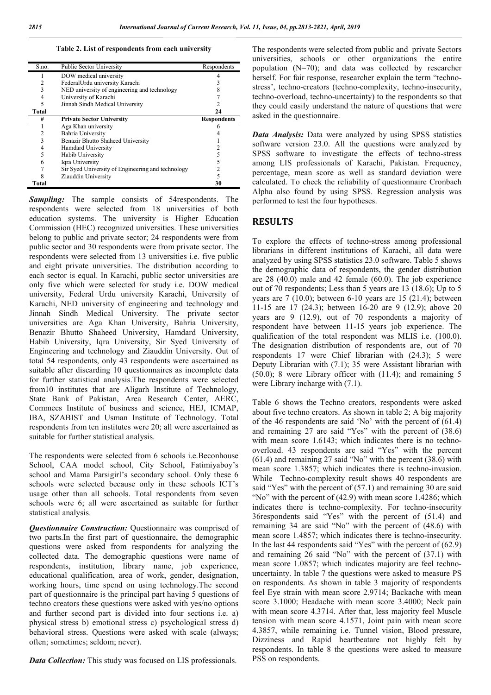**Table 2. List of respondents from each university**

| S.no.        | <b>Public Sector University</b>                   | Respondents        |
|--------------|---------------------------------------------------|--------------------|
|              | DOW medical university                            |                    |
| 2            | FederalUrdu university Karachi                    |                    |
| 3            | NED university of engineering and technology      |                    |
| 4            | University of Karachi                             |                    |
|              | Jinnah Sindh Medical University                   |                    |
| <b>Total</b> |                                                   | 24                 |
| #            | <b>Private Sector University</b>                  | <b>Respondents</b> |
|              | Aga Khan university                               |                    |
|              | Bahria University                                 |                    |
| 3            | Benazir Bhutto Shaheed University                 |                    |
| 4            | Hamdard University                                |                    |
| 5            | Habib University                                  |                    |
| 6            | Iqra University                                   |                    |
|              | Sir Syed University of Engineering and technology |                    |
|              | Ziauddin University                               |                    |
| Total        |                                                   | 30                 |

*Sampling:* The sample consists of 54respondents. The respondents were selected from 18 universities of both education systems. The university is Higher Education Commission (HEC) recognized universities. These universities belong to public and private sector; 24 respondents were from public sector and 30 respondents were from private sector. The respondents were selected from 13 universities i.e. five public and eight private universities. The distribution according to each sector is equal. In Karachi, public sector universities are only five which were selected for study i.e. DOW medical university, Federal Urdu university Karachi, University of Karachi, NED university of engineering and technology and Jinnah Sindh Medical University. The private sector universities are Aga Khan University, Bahria University, Benazir Bhutto Shaheed University, Hamdard University, Habib University, Iqra University, Sir Syed University of Engineering and technology and Ziauddin University. Out of total 54 respondents, only 43 respondents were ascertained as suitable after discarding 10 questionnaires as incomplete data for further statistical analysis.The respondents were selected from10 institutes that are Aligarh Institute of Technology, State Bank of Pakistan, Area Research Center, AERC, Commecs Institute of business and science, HEJ, ICMAP, IBA, SZABIST and Usman Institute of Technology. Total respondents from ten institutes were 20; all were ascertained as suitable for further statistical analysis.

The respondents were selected from 6 schools i.e.Beconhouse School, CAA model school, City School, Fatimiyaboy's school and Mama Parsigirl's secondary school. Only these 6 schools were selected because only in these schools ICT's usage other than all schools. Total respondents from seven schools were 6; all were ascertained as suitable for further statistical analysis.

*Questionnaire Construction:* Questionnaire was comprised of two parts.In the first part of questionnaire, the demographic questions were asked from respondents for analyzing the collected data. The demographic questions were name of respondents, institution, library name, job experience, educational qualification, area of work, gender, designation, working hours, time spend on using technology.The second part of questionnaire is the principal part having 5 questions of techno creators these questions were asked with yes/no options and further second part is divided into four sections i.e. a) physical stress b) emotional stress c) psychological stress d) behavioral stress. Questions were asked with scale (always; often; sometimes; seldom; never).

*Data Collection:* This study was focused on LIS professionals.

The respondents were selected from public and private Sectors universities, schools or other organizations the entire population (N=70); and data was collected by researcher herself. For fair response, researcher explain the term "technostress', techno-creators (techno-complexity, techno-insecurity, techno-overload, techno-uncertainty) to the respondents so that they could easily understand the nature of questions that were asked in the questionnaire.

*Data Analysis:* Data were analyzed by using SPSS statistics software version 23.0. All the questions were analyzed by SPSS software to investigate the effects of techno-stress among LIS professionals of Karachi, Pakistan. Frequency, percentage, mean score as well as standard deviation were calculated. To check the reliability of questionnaire Cronbach Alpha also found by using SPSS. Regression analysis was performed to test the four hypotheses.

# **RESULTS**

To explore the effects of techno-stress among professional librarians in different institutions of Karachi, all data were analyzed by using SPSS statistics 23.0 software. Table 5 shows the demographic data of respondents, the gender distribution are 28 (40.0) male and 42 female (60.0). The job experience out of 70 respondents; Less than 5 years are 13 (18.6); Up to 5 years are 7 (10.0); between 6-10 years are 15 (21.4); between 11-15 are 17 (24.3); between 16-20 are 9 (12.9); above 20 years are 9 (12.9), out of 70 respondents a majority of respondent have between 11-15 years job experience. The qualification of the total respondent was MLIS i.e. (100.0). The designation distribution of respondents are, out of 70 respondents 17 were Chief librarian with (24.3); 5 were Deputy Librarian with (7.1); 35 were Assistant librarian with (50.0); 8 were Library officer with (11.4); and remaining 5 were Library incharge with (7.1).

Table 6 shows the Techno creators, respondents were asked about five techno creators. As shown in table 2; A big majority of the 46 respondents are said 'No' with the percent of (61.4) and remaining 27 are said "Yes" with the percent of (38.6) with mean score 1.6143; which indicates there is no technooverload. 43 respondents are said "Yes" with the percent (61.4) and remaining 27 said "No" with the percent (38.6) with mean score 1.3857; which indicates there is techno-invasion. While Techno-complexity result shows 40 respondents are said "Yes" with the percent of (57.1) and remaining 30 are said "No" with the percent of (42.9) with mean score 1.4286; which indicates there is techno-complexity. For techno-insecurity 36respondents said "Yes" with the percent of (51.4) and remaining 34 are said "No" with the percent of (48.6) with mean score 1.4857; which indicates there is techno-insecurity. In the last 44 respondents said "Yes" with the percent of (62.9) and remaining 26 said "No" with the percent of (37.1) with mean score 1.0857; which indicates majority are feel technouncertainty. In table 7 the questions were asked to measure PS on respondents. As shown in table 3 majority of respondents feel Eye strain with mean score 2.9714; Backache with mean score 3.1000; Headache with mean score 3.4000; Neck pain with mean score 4.3714. After that, less majority feel Muscle tension with mean score 4.1571, Joint pain with mean score 4.3857, while remaining i.e. Tunnel vision, Blood pressure, Dizziness and Rapid heartbeatare not highly felt by respondents. In table 8 the questions were asked to measure PSS on respondents.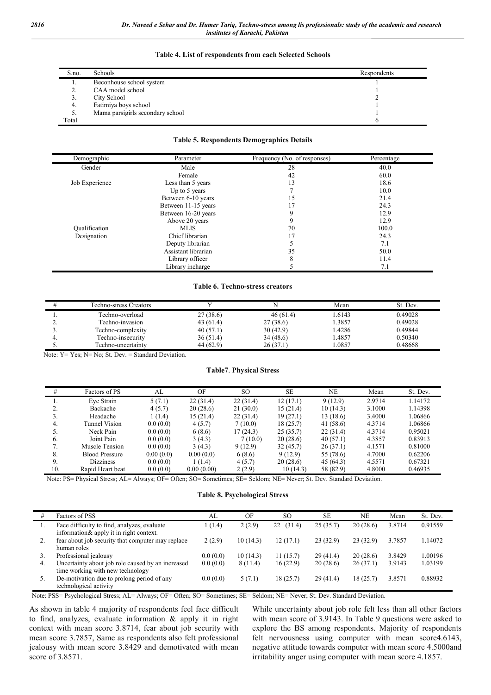#### *2816 Dr. Naveed e Sehar and Dr. Humer Tariq, Techno-stress among lis professionals: study of the academic and research institutes of Karachi, Pakistan*

| S.no. | Schools                          | Respondents |
|-------|----------------------------------|-------------|
|       | Beconhouse school system         |             |
| ٠.    | CAA model school                 |             |
| . .   | City School                      |             |
| 4.    | Fatimiya boys school             |             |
| . ب   | Mama parsigirls secondary school |             |
| Total |                                  |             |

#### **Table 4. List of respondents from each Selected Schools**

#### **Table 5. Respondents Demographics Details**

| Demographic    | Parameter           | Frequency (No. of responses) | Percentage |
|----------------|---------------------|------------------------------|------------|
| Gender         | Male                | 28                           | 40.0       |
|                | Female              | 42                           | 60.0       |
| Job Experience | Less than 5 years   | 13                           | 18.6       |
|                | Up to 5 years       |                              | 10.0       |
|                | Between 6-10 years  | 15                           | 21.4       |
|                | Between 11-15 years |                              | 24.3       |
|                | Between 16-20 years | Q                            | 12.9       |
|                | Above 20 years      |                              | 12.9       |
| Oualification  | <b>MLIS</b>         | 70                           | 100.0      |
| Designation    | Chief librarian     | 17                           | 24.3       |
|                | Deputy librarian    |                              | 7.1        |
|                | Assistant librarian | 35                           | 50.0       |
|                | Library officer     | 8                            | 11.4       |
|                | Library incharge    |                              | 7.1        |

#### **Table 6. Techno-stress creators**

|          | Techno-stress Creators |           |          | Mean  | St. Dev. |
|----------|------------------------|-----------|----------|-------|----------|
|          | Techno-overload        | 27(38.6)  | 46(61.4) | .6143 | 0.49028  |
| <u>.</u> | Techno-invasion        | 43 (61.4) | 27(38.6) | .3857 | 0.49028  |
| <u>.</u> | Techno-complexity      | 40(57.1)  | 30(42.9) | .4286 | 0.49844  |
|          | Techno-insecurity      | 36(51.4)  | 34(48.6) | .4857 | 0.50340  |
|          | Techno-uncertainty     | 44 (62.9) | 26(37.1) | .0857 | 0.48668  |

Note: Y= Yes; N= No; St. Dev. = Standard Deviation.

#### **Table7**. **Physical Stress**

| #   | Factors of PS         | AL        | OF         | <sub>SO</sub> | <b>SE</b> | NE        | Mean   | St. Dev. |
|-----|-----------------------|-----------|------------|---------------|-----------|-----------|--------|----------|
| l.  | Eye Strain            | 5(7.1)    | 22(31.4)   | 22(31.4)      | 12(17.1)  | 9(12.9)   | 2.9714 | 1.14172  |
| 2.  | Backache              | 4(5.7)    | 20(28.6)   | 21(30.0)      | 15(21.4)  | 10(14.3)  | 3.1000 | 1.14398  |
| 3.  | Headache              | 1(1.4)    | 15 (21.4)  | 22(31.4)      | 19(27.1)  | 13 (18.6) | 3.4000 | 1.06866  |
| 4.  | <b>Tunnel Vision</b>  | 0.0(0.0)  | 4(5.7)     | 7(10.0)       | 18(25.7)  | 41 (58.6) | 4.3714 | 1.06866  |
|     | Neck Pain             | 0.0(0.0)  | 6(8.6)     | 17(24.3)      | 25(35.7)  | 22(31.4)  | 4.3714 | 0.95021  |
| 6.  | Joint Pain            | 0.0(0.0)  | 3(4.3)     | 7(10.0)       | 20(28.6)  | 40(57.1)  | 4.3857 | 0.83913  |
| 7.  | Muscle Tension        | 0.0(0.0)  | 3(4.3)     | 9(12.9)       | 32(45.7)  | 26(37.1)  | 4.1571 | 0.81000  |
| 8.  | <b>Blood Pressure</b> | 0.00(0.0) | 0.00(0.0)  | 6(8.6)        | 9(12.9)   | 55 (78.6) | 4.7000 | 0.62206  |
| 9.  | <b>Dizziness</b>      | 0.0(0.0)  | 1 (1.4)    | 4(5.7)        | 20(28.6)  | 45 (64.3) | 4.5571 | 0.67321  |
| 10. | Rapid Heart beat      | 0.0(0.0)  | 0.00(0.00) | 2(2.9)        | 10(14.3)  | 58 (82.9) | 4.8000 | 0.46935  |

Note: PS= Physical Stress; AL= Always; OF= Often; SO= Sometimes; SE= Seldom; NE= Never; St. Dev. Standard Deviation.

### **Table 8. Psychological Stress**

|    | Factors of PSS                                                                         | AL       | OF       | <sub>SO</sub> | <b>SE</b> | NE       | Mean   | St. Dev. |
|----|----------------------------------------------------------------------------------------|----------|----------|---------------|-----------|----------|--------|----------|
|    | Face difficulty to find, analyzes, evaluate<br>information& apply it in right context. | (1.4)    | 2(2.9)   | (31.4)<br>22  | 25(35.7)  | 20(28.6) | 3.8714 | 0.91559  |
| 2. | fear about job security that computer may replace<br>human roles                       | 2(2.9)   | 10(14.3) | 12(17.1)      | 23(32.9)  | 23(32.9) | 3.7857 | 1.14072  |
| 3. | Professional jealousy                                                                  | 0.0(0.0) | 10(14.3) | 11(15.7)      | 29(41.4)  | 20(28.6) | 3.8429 | 1.00196  |
| 4. | Uncertainty about job role caused by an increased<br>time working with new technology  | 0.0(0.0) | 8 (11.4) | 16(22.9)      | 20(28.6)  | 26(37.1) | 3.9143 | 1.03199  |
| 5. | De-motivation due to prolong period of any<br>technological activity                   | 0.0(0.0) | 5(7.1)   | 18(25.7)      | 29(41.4)  | 18(25.7) | 3.8571 | 0.88932  |

Note: PSS= Psychological Stress; AL= Always; OF= Often; SO= Sometimes; SE= Seldom; NE= Never; St. Dev. Standard Deviation.

As shown in table 4 majority of respondents feel face difficult to find, analyzes, evaluate information & apply it in right context with mean score 3.8714, fear about job security with mean score 3.7857, Same as respondents also felt professional jealousy with mean score 3.8429 and demotivated with mean score of 3.8571.

While uncertainty about job role felt less than all other factors with mean score of 3.9143. In Table 9 questions were asked to explore the BS among respondents. Majority of respondents felt nervousness using computer with mean score4.6143, negative attitude towards computer with mean score 4.5000and irritability anger using computer with mean score 4.1857.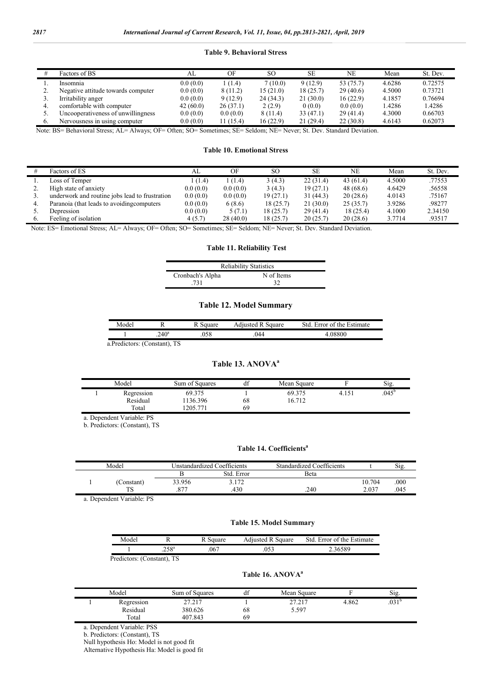#### **Table 9. Behavioral Stress**

|           | Factors of BS                      | AL       | OF        | SO.       | SE.      | NE        | Mean   | St. Dev. |
|-----------|------------------------------------|----------|-----------|-----------|----------|-----------|--------|----------|
|           | Insomnia                           | 0.0(0.0) | 1(1.4)    | 7(10.0)   | 9(12.9)  | 53 (75.7) | 4.6286 | 0.72575  |
| <b>4.</b> | Negative attitude towards computer | 0.0(0.0) | 8(11.2)   | 15(21.0)  | 18(25.7) | 29(40.6)  | 4.5000 | 0.73721  |
| ć.        | Irritability anger                 | 0.0(0.0) | 9(12.9)   | 24 (34.3) | 21(30.0) | 16(22.9)  | 4.1857 | 0.76694  |
| 4.        | comfortable with computer          | 42(60.0) | 26(37.1)  | 2(2.9)    | 0(0.0)   | 0.0(0.0)  | 1.4286 | 1.4286   |
|           | Uncooperativeness of unwillingness | 0.0(0.0) | 0.0(0.0)  | 8(11.4)   | 33(47.1) | 29(41.4)  | 4.3000 | 0.66703  |
| 6.        | Nervousness in using computer      | 0.0(0.0) | 11 (15.4) | 16(22.9)  | 21(29.4) | 22(30.8)  | 4.6143 | 0.62073  |

Note: BS= Behavioral Stress; AL= Always; OF= Often; SO= Sometimes; SE= Seldom; NE= Never; St. Dev. Standard Deviation.

### **Table 10. Emotional Stress**

|          | Factors of ES                                  | AL.      | OF       | SO.       | <b>SE</b> | NE        | Mean   | St. Dev. |
|----------|------------------------------------------------|----------|----------|-----------|-----------|-----------|--------|----------|
|          | Loss of Temper                                 | l (1.4)  | (1.4)    | 3(4.3)    | 22(31.4)  | 43(61.4)  | 4.5000 | .77553   |
| <u>.</u> | High state of anxiety                          | 0.0(0.0) | 0.0(0.0) | 3(4.3)    | 19(27.1)  | 48 (68.6) | 4.6429 | .56558   |
|          | underwork and routine jobs lead to frustration | 0.0(0.0) | 0.0(0.0) | 19(27.1)  | 31(44.3)  | 20(28.6)  | 4.0143 | .75167   |
| 4.       | Paranoia (that leads to avoiding computers     | 0.0(0.0) | 6(8.6)   | 18(25.7)  | 21(30.0)  | 25(35.7)  | 3.9286 | .98277   |
|          | Depression                                     | 0.0(0.0) | 5(7.1)   | 18(25.7)  | 29(41.4)  | 18(25.4)  | 4.1000 | 2.34150  |
|          | Feeling of isolation                           | 4(5.7)   | 28(40.0) | 18 (25.7) | 20(25.7)  | 20(28.6)  | 3.7714 | .93517   |

Note: ES= Emotional Stress; AL= Always; OF= Often; SO= Sometimes; SE= Seldom; NE= Never; St. Dev. Standard Deviation.

# **Table 11. Reliability Test**

| <b>Reliability Statistics</b> |            |  |  |  |  |  |  |
|-------------------------------|------------|--|--|--|--|--|--|
| Cronbach's Alpha              | N of Items |  |  |  |  |  |  |
| .731                          | -32        |  |  |  |  |  |  |

# **Table 12. Model Summary**

| Mode' |                                                                               |  | quare<br>1110400 | Frror of the Estimate |  |  |  |  |
|-------|-------------------------------------------------------------------------------|--|------------------|-----------------------|--|--|--|--|
|       | $4\Omega^a$<br>.∠⊤v                                                           |  | 144              |                       |  |  |  |  |
|       | $\mathbf{D}$ $\mathbf{E}$ $\mathbf{C}$ $\mathbf{C}$ $\mathbf{D}$ $\mathbf{C}$ |  |                  |                       |  |  |  |  |

a.Predictors: (Constant), TS

# **Table 13. ANOVA<sup>a</sup>**

| Model                  | Sum of Squares    | df | Mean Square      |                   | $\sim$ .<br>Sig. |
|------------------------|-------------------|----|------------------|-------------------|------------------|
| Regression<br>Residual | 69.375<br>136.396 | 68 | 69.375<br>16.712 | 4.15 <sub>1</sub> | $.045^{\circ}$   |
| Total                  | 205 771           | 69 |                  |                   |                  |

a. Dependent Variable: PS

b. Predictors: (Constant), TS

# Table 14. Coefficients<sup>a</sup>

| Model |            |        | Unstandardized Coefficients | Standardized Coefficients |        | 512. |
|-------|------------|--------|-----------------------------|---------------------------|--------|------|
|       |            |        | Std. Error                  | Beta                      |        |      |
|       | .`onstant` | 33.956 | 2172                        |                           | 10.704 | 000  |
|       | TC<br>10   | 077    | 430                         | .240                      | 2.037  | .045 |

a. Dependent Variable: PS

# **Table 15. Model Summary**

| Mode' |                |      | duare<br>duisted. | Error of the Estimate<br>Std |
|-------|----------------|------|-------------------|------------------------------|
|       | $.258^{\circ}$ | .067 |                   | ، ہ -                        |

Predictors: (Constant), TS

# **Table 16. ANOVAa**

| Model                  | Sum of Squares            | dt | Mean Square                                    |       | Sig.              |
|------------------------|---------------------------|----|------------------------------------------------|-------|-------------------|
| Regression<br>Residual | 77.717<br>$-1$<br>380.626 | 68 | 77 717<br>$\sim$ $\prime$ . $\sim$ 1.<br>5.597 | 4.862 | .031 <sup>b</sup> |
| Total                  | 407.843                   | 69 |                                                |       |                   |

a. Dependent Variable: PSS

b. Predictors: (Constant), TS

Null hypothesis Ho: Model is not good fit

Alternative Hypothesis Ha: Model is good fit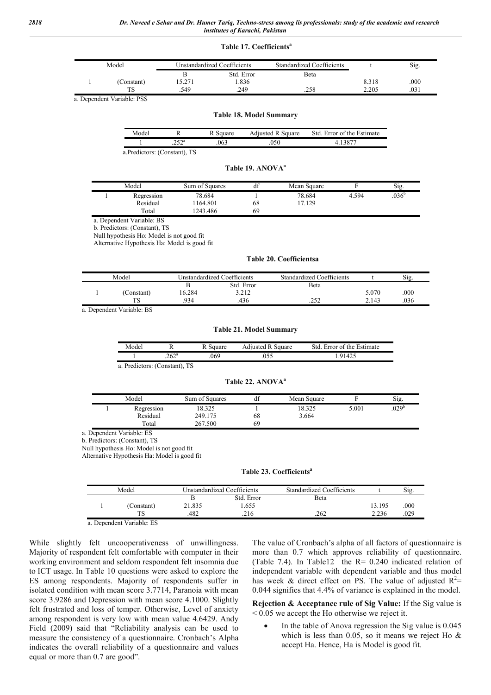#### **Table 17. Coefficientsa**

| Model |            | Unstandardized Coefficients |            | Standardized Coefficients |       | Sig. |
|-------|------------|-----------------------------|------------|---------------------------|-------|------|
|       |            |                             | Std. Error | Beta                      |       |      |
|       | (Constant) | 5.271                       | .836       |                           | 8.318 | .000 |
|       | mс         | .549                        | .249       | .258                      | 2.205 | .031 |

a. Dependent Variable: PSS

#### **Table 18. Model Summary**

| Mode |     | 10r  | quare<br>'te | .stımate<br>rror<br>the.<br>St∩<br>ΩŤ |
|------|-----|------|--------------|---------------------------------------|
|      | こつa | .063 |              |                                       |

a.Predictors: (Constant), TS

#### Table 19. ANOVA<sup>a</sup>

|  | Model      | Sum of Squares | df | Mean Square |       | Sig.           |
|--|------------|----------------|----|-------------|-------|----------------|
|  | Regression | 78.684         |    | 78.684      | 4.594 | $.036^{\circ}$ |
|  | Residual   | 164.801        | 68 | 7.129       |       |                |
|  | Total      | ' 243.486      | 69 |             |       |                |

a. Dependent Variable: BS

b. Predictors: (Constant), TS

Null hypothesis Ho: Model is not good fit

Alternative Hypothesis Ha: Model is good fit

#### **Table 20. Coefficientsa**

| Model |           |        | Unstandardized Coefficients | Standardized Coefficients |       | Si <sub>g</sub> |
|-------|-----------|--------|-----------------------------|---------------------------|-------|-----------------|
|       |           |        | Std. Error                  | Beta                      |       |                 |
|       | Constant) | 16.284 | 3.212                       |                           | 5.070 | .000            |
|       |           | 934    | 436                         | ے ر⊾.                     | 2.143 | .036            |

a. Dependent Variable: BS

#### **Table 21. Model Summary**

| Mode |             |      | uuare | ™afe:<br>⊶mar |
|------|-------------|------|-------|---------------|
|      | 62a<br>ے∪⊾. | .06' |       |               |

a. Predictors: (Constant), TS

#### **Table 22. ANOVAa**

|  | Model      | Sum of Squares | df | Mean Square |       | Sig.              |
|--|------------|----------------|----|-------------|-------|-------------------|
|  | Regression | 18.325         |    | 18.325      | 5.001 | .029 <sup>b</sup> |
|  | Residual   | 249.175        | 68 | 3.664       |       |                   |
|  | Total      | 267.500        | 69 |             |       |                   |

a. Dependent Variable: ES

b. Predictors: (Constant), TS

Null hypothesis Ho: Model is not good fit

Alternative Hypothesis Ha: Model is good fit

#### **Table 23. Coefficientsa**

| Model<br>Instandardized Coefficients |            |        | Standardized Coefficients |              | S1g.   |      |
|--------------------------------------|------------|--------|---------------------------|--------------|--------|------|
|                                      |            |        | Std. Error                | <b>B</b> eta |        |      |
|                                      | (Constant) | 21.835 | .655                      |              | 13.195 | .000 |
|                                      | LЭ         | 482    | .216                      | .262         | 2.236  | .029 |
|                                      |            |        |                           |              |        |      |

a. Dependent Variable: ES

While slightly felt uncooperativeness of unwillingness. Majority of respondent felt comfortable with computer in their working environment and seldom respondent felt insomnia due to ICT usage. In Table 10 questions were asked to explore the ES among respondents. Majority of respondents suffer in isolated condition with mean score 3.7714, Paranoia with mean score 3.9286 and Depression with mean score 4.1000. Slightly felt frustrated and loss of temper. Otherwise, Level of anxiety among respondent is very low with mean value 4.6429. Andy Field (2009) said that "Reliability analysis can be used to measure the consistency of a questionnaire. Cronbach's Alpha indicates the overall reliability of a questionnaire and values equal or more than 0.7 are good".

The value of Cronbach's alpha of all factors of questionnaire is more than 0.7 which approves reliability of questionnaire. (Table 7.4). In Table12 the R= 0.240 indicated relation of independent variable with dependent variable and thus model has week & direct effect on PS. The value of adjusted  $R^2$ = 0.044 signifies that 4.4% of variance is explained in the model.

**Rejection & Acceptance rule of Sig Value:** If the Sig value is  $< 0.05$  we accept the Ho otherwise we reject it.

 In the table of Anova regression the Sig value is 0.045 which is less than 0.05, so it means we reject Ho & accept Ha. Hence, Ha is Model is good fit.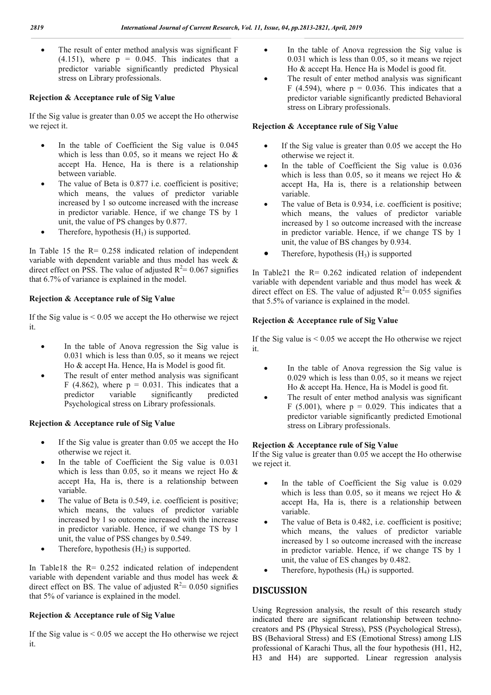• The result of enter method analysis was significant F  $(4.151)$ , where  $p = 0.045$ . This indicates that a predictor variable significantly predicted Physical stress on Library professionals.

# **Rejection & Acceptance rule of Sig Value**

If the Sig value is greater than 0.05 we accept the Ho otherwise we reject it.

- In the table of Coefficient the Sig value is 0.045 which is less than 0.05, so it means we reject Ho & accept Ha. Hence, Ha is there is a relationship between variable.
- The value of Beta is 0.877 i.e. coefficient is positive; which means, the values of predictor variable increased by 1 so outcome increased with the increase in predictor variable. Hence, if we change TS by 1 unit, the value of PS changes by 0.877.
- Therefore, hypothesis  $(H_1)$  is supported.

In Table 15 the  $R = 0.258$  indicated relation of independent variable with dependent variable and thus model has week & direct effect on PSS. The value of adjusted  $R^2 = 0.067$  signifies that 6.7% of variance is explained in the model.

# **Rejection & Acceptance rule of Sig Value**

If the Sig value is  $< 0.05$  we accept the Ho otherwise we reject it.

- In the table of Anova regression the Sig value is 0.031 which is less than 0.05, so it means we reject Ho & accept Ha. Hence, Ha is Model is good fit.
- The result of enter method analysis was significant F (4.862), where  $p = 0.031$ . This indicates that a predictor variable significantly predicted predictor variable significantly Psychological stress on Library professionals.

# **Rejection & Acceptance rule of Sig Value**

- If the Sig value is greater than 0.05 we accept the Ho otherwise we reject it.
- In the table of Coefficient the Sig value is 0.031 which is less than 0.05, so it means we reject Ho & accept Ha, Ha is, there is a relationship between variable.
- The value of Beta is 0.549, i.e. coefficient is positive; which means, the values of predictor variable increased by 1 so outcome increased with the increase in predictor variable. Hence, if we change TS by 1 unit, the value of PSS changes by 0.549.
- Therefore, hypothesis  $(H<sub>2</sub>)$  is supported.

In Table18 the R= 0.252 indicated relation of independent variable with dependent variable and thus model has week & direct effect on BS. The value of adjusted  $R^2 = 0.050$  signifies that 5% of variance is explained in the model.

# **Rejection & Acceptance rule of Sig Value**

If the Sig value is  $< 0.05$  we accept the Ho otherwise we reject it.

- In the table of Anova regression the Sig value is 0.031 which is less than 0.05, so it means we reject Ho & accept Ha. Hence Ha is Model is good fit.
- The result of enter method analysis was significant F (4.594), where  $p = 0.036$ . This indicates that a predictor variable significantly predicted Behavioral stress on Library professionals.

# **Rejection & Acceptance rule of Sig Value**

- If the Sig value is greater than 0.05 we accept the Ho otherwise we reject it.
- In the table of Coefficient the Sig value is 0.036 which is less than 0.05, so it means we reject Ho & accept Ha, Ha is, there is a relationship between variable.
- The value of Beta is 0.934, i.e. coefficient is positive; which means, the values of predictor variable increased by 1 so outcome increased with the increase in predictor variable. Hence, if we change TS by 1 unit, the value of BS changes by 0.934.
- Therefore, hypothesis  $(H_3)$  is supported

In Table21 the  $R = 0.262$  indicated relation of independent variable with dependent variable and thus model has week & direct effect on ES. The value of adjusted  $R^2 = 0.055$  signifies that 5.5% of variance is explained in the model.

# **Rejection & Acceptance rule of Sig Value**

If the Sig value is  $\leq 0.05$  we accept the Ho otherwise we reject it.

- In the table of Anova regression the Sig value is 0.029 which is less than 0.05, so it means we reject Ho & accept Ha. Hence, Ha is Model is good fit.
- The result of enter method analysis was significant F (5.001), where  $p = 0.029$ . This indicates that a predictor variable significantly predicted Emotional stress on Library professionals.

# **Rejection & Acceptance rule of Sig Value**

If the Sig value is greater than 0.05 we accept the Ho otherwise we reject it.

- In the table of Coefficient the Sig value is 0.029 which is less than 0.05, so it means we reject Ho & accept Ha, Ha is, there is a relationship between variable.
- The value of Beta is 0.482, i.e. coefficient is positive; which means, the values of predictor variable increased by 1 so outcome increased with the increase in predictor variable. Hence, if we change TS by 1 unit, the value of ES changes by 0.482.
- Therefore, hypothesis  $(H_4)$  is supported.

# **DISCUSSION**

Using Regression analysis, the result of this research study indicated there are significant relationship between technocreators and PS (Physical Stress), PSS (Psychological Stress), BS (Behavioral Stress) and ES (Emotional Stress) among LIS professional of Karachi Thus, all the four hypothesis (H1, H2, H3 and H4) are supported. Linear regression analysis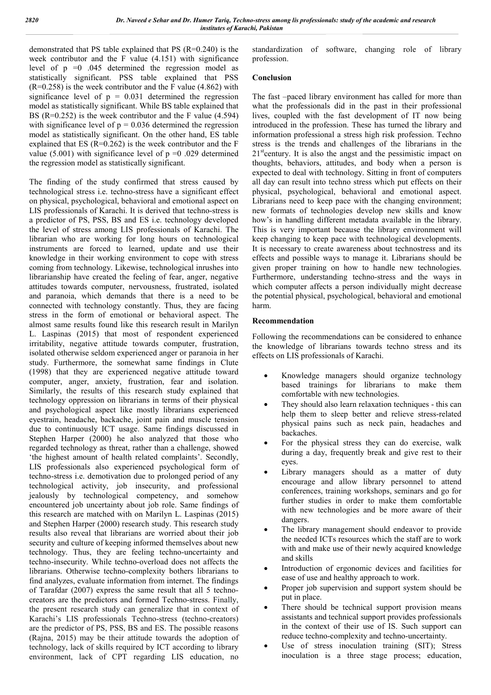demonstrated that PS table explained that PS (R=0.240) is the week contributor and the F value (4.151) with significance level of  $p = 0$  .045 determined the regression model as statistically significant. PSS table explained that PSS  $(R=0.258)$  is the week contributor and the F value (4.862) with significance level of  $p = 0.031$  determined the regression model as statistically significant. While BS table explained that BS (R=0.252) is the week contributor and the F value (4.594) with significance level of  $p = 0.036$  determined the regression model as statistically significant. On the other hand, ES table explained that ES ( $R=0.262$ ) is the week contributor and the F value (5.001) with significance level of  $p = 0.029$  determined the regression model as statistically significant.

The finding of the study confirmed that stress caused by technological stress i.e. techno-stress have a significant effect on physical, psychological, behavioral and emotional aspect on LIS professionals of Karachi. It is derived that techno-stress is a predictor of PS, PSS, BS and ES i.e. technology developed the level of stress among LIS professionals of Karachi. The librarian who are working for long hours on technological instruments are forced to learned, update and use their knowledge in their working environment to cope with stress coming from technology. Likewise, technological inrushes into librarianship have created the feeling of fear, anger, negative attitudes towards computer, nervousness, frustrated, isolated and paranoia, which demands that there is a need to be connected with technology constantly. Thus, they are facing stress in the form of emotional or behavioral aspect. The almost same results found like this research result in Marilyn L. Laspinas (2015) that most of respondent experienced irritability, negative attitude towards computer, frustration, isolated otherwise seldom experienced anger or paranoia in her study. Furthermore, the somewhat same findings in Clute (1998) that they are experienced negative attitude toward computer, anger, anxiety, frustration, fear and isolation. Similarly, the results of this research study explained that technology oppression on librarians in terms of their physical and psychological aspect like mostly librarians experienced eyestrain, headache, backache, joint pain and muscle tension due to continuously ICT usage. Same findings discussed in Stephen Harper (2000) he also analyzed that those who regarded technology as threat, rather than a challenge, showed 'the highest amount of health related complaints'. Secondly, LIS professionals also experienced psychological form of techno-stress i.e. demotivation due to prolonged period of any technological activity, job insecurity, and professional jealously by technological competency, and somehow encountered job uncertainty about job role. Same findings of this research are matched with on Marilyn L. Laspinas (2015) and Stephen Harper (2000) research study. This research study results also reveal that librarians are worried about their job security and culture of keeping informed themselves about new technology. Thus, they are feeling techno-uncertainty and techno-insecurity. While techno-overload does not affects the librarians. Otherwise techno-complexity bothers librarians to find analyzes, evaluate information from internet. The findings of Tarafdar (2007) express the same result that all 5 technocreators are the predictors and formed Techno-stress. Finally, the present research study can generalize that in context of Karachi's LIS professionals Techno-stress (techno-creators) are the predictor of PS, PSS, BS and ES. The possible reasons (Rajna, 2015) may be their attitude towards the adoption of technology, lack of skills required by ICT according to library environment, lack of CPT regarding LIS education, no

standardization of software, changing role of library profession.

# **Conclusion**

The fast –paced library environment has called for more than what the professionals did in the past in their professional lives, coupled with the fast development of IT now being introduced in the profession. These has turned the library and information professional a stress high risk profession. Techno stress is the trends and challenges of the librarians in the  $21<sup>st</sup>$  century. It is also the angst and the pessimistic impact on thoughts, behaviors, attitudes, and body when a person is expected to deal with technology. Sitting in front of computers all day can result into techno stress which put effects on their physical, psychological, behavioral and emotional aspect. Librarians need to keep pace with the changing environment; new formats of technologies develop new skills and know how's in handling different metadata available in the library. This is very important because the library environment will keep changing to keep pace with technological developments. It is necessary to create awareness about technostress and its effects and possible ways to manage it. Librarians should be given proper training on how to handle new technologies. Furthermore, understanding techno-stress and the ways in which computer affects a person individually might decrease the potential physical, psychological, behavioral and emotional harm.

# **Recommendation**

Following the recommendations can be considered to enhance the knowledge of librarians towards techno stress and its effects on LIS professionals of Karachi.

- Knowledge managers should organize technology based trainings for librarians to make them comfortable with new technologies.
- They should also learn relaxation techniques this can help them to sleep better and relieve stress-related physical pains such as neck pain, headaches and backaches.
- For the physical stress they can do exercise, walk during a day, frequently break and give rest to their eyes.
- Library managers should as a matter of duty encourage and allow library personnel to attend conferences, training workshops, seminars and go for further studies in order to make them comfortable with new technologies and be more aware of their dangers.
- The library management should endeavor to provide the needed ICTs resources which the staff are to work with and make use of their newly acquired knowledge and skills
- Introduction of ergonomic devices and facilities for ease of use and healthy approach to work.
- Proper job supervision and support system should be put in place.
- There should be technical support provision means assistants and technical support provides professionals in the context of their use of IS. Such support can reduce techno-complexity and techno-uncertainty.
- Use of stress inoculation training (SIT); Stress inoculation is a three stage process; education,